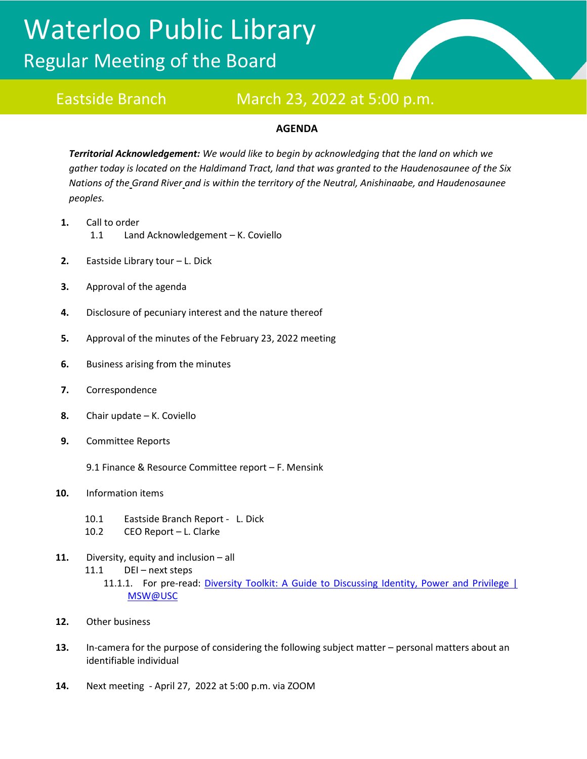# Waterloo Public Library Regular Meeting of the Board



# Eastside Branch March 23, 2022 at 5:00 p.m.

## **AGENDA**

*Territorial Acknowledgement: We would like to begin by acknowledging that the land on which we gather today is located on the Haldimand Tract, land that was granted to the Haudenosaunee of the Six Nations of the Grand River and is within the territory of the Neutral, Anishinaabe, and Haudenosaunee peoples.*

- **1.** Call to order 1.1 Land Acknowledgement – K. Coviello
- **2.** Eastside Library tour L. Dick
- **3.** Approval of the agenda
- **4.** Disclosure of pecuniary interest and the nature thereof
- **5.** Approval of the minutes of the February 23, 2022 meeting
- **6.** Business arising from the minutes
- **7.** Correspondence
- **8.** Chair update K. Coviello
- **9.** Committee Reports
	- 9.1 Finance & Resource Committee report F. Mensink
- **10.** Information items
	- 10.1 Eastside Branch Report L. Dick
	- 10.2 CEO Report L. Clarke
- **11.** Diversity, equity and inclusion all 11.1 DEI – next steps 11.1.1. For pre-read: Diversity Toolkit: A Guide to Discussing Identity, Power and Privilege | [MSW@USC](https://msw.usc.edu/mswusc-blog/diversity-workshop-guide-to-discussing-identity-power-and-privilege/)
- **12.** Other business
- **13.** In-camera for the purpose of considering the following subject matter personal matters about an identifiable individual
- **14.** Next meeting April 27, 2022 at 5:00 p.m. via ZOOM